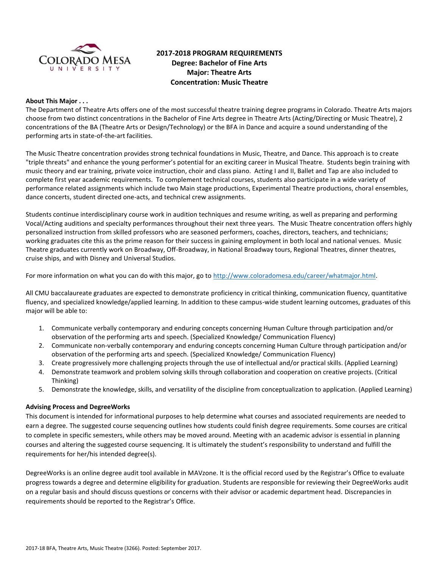

# **2017-2018 PROGRAM REQUIREMENTS Degree: Bachelor of Fine Arts Major: Theatre Arts Concentration: Music Theatre**

### **About This Major . . .**

The Department of Theatre Arts offers one of the most successful theatre training degree programs in Colorado. Theatre Arts majors choose from two distinct concentrations in the Bachelor of Fine Arts degree in Theatre Arts (Acting/Directing or Music Theatre), 2 concentrations of the BA (Theatre Arts or Design/Technology) or the BFA in Dance and acquire a sound understanding of the performing arts in state-of-the-art facilities.

The Music Theatre concentration provides strong technical foundations in Music, Theatre, and Dance. This approach is to create "triple threats" and enhance the young performer's potential for an exciting career in Musical Theatre. Students begin training with music theory and ear training, private voice instruction, choir and class piano. Acting I and II, Ballet and Tap are also included to complete first year academic requirements. To complement technical courses, students also participate in a wide variety of performance related assignments which include two Main stage productions, Experimental Theatre productions, choral ensembles, dance concerts, student directed one-acts, and technical crew assignments.

Students continue interdisciplinary course work in audition techniques and resume writing, as well as preparing and performing Vocal/Acting auditions and specialty performances throughout their next three years. The Music Theatre concentration offers highly personalized instruction from skilled professors who are seasoned performers, coaches, directors, teachers, and technicians; working graduates cite this as the prime reason for their success in gaining employment in both local and national venues. Music Theatre graduates currently work on Broadway, Off-Broadway, in National Broadway tours, Regional Theatres, dinner theatres, cruise ships, and with Disney and Universal Studios.

For more information on what you can do with this major, go to [http://www.coloradomesa.edu/career/whatmajor.html.](http://www.coloradomesa.edu/career/whatmajor.html)

All CMU baccalaureate graduates are expected to demonstrate proficiency in critical thinking, communication fluency, quantitative fluency, and specialized knowledge/applied learning. In addition to these campus-wide student learning outcomes, graduates of this major will be able to:

- 1. Communicate verbally contemporary and enduring concepts concerning Human Culture through participation and/or observation of the performing arts and speech. (Specialized Knowledge/ Communication Fluency)
- 2. Communicate non-verbally contemporary and enduring concepts concerning Human Culture through participation and/or observation of the performing arts and speech. (Specialized Knowledge/ Communication Fluency)
- 3. Create progressively more challenging projects through the use of intellectual and/or practical skills. (Applied Learning)
- 4. Demonstrate teamwork and problem solving skills through collaboration and cooperation on creative projects. (Critical Thinking)
- 5. Demonstrate the knowledge, skills, and versatility of the discipline from conceptualization to application. (Applied Learning)

# **Advising Process and DegreeWorks**

This document is intended for informational purposes to help determine what courses and associated requirements are needed to earn a degree. The suggested course sequencing outlines how students could finish degree requirements. Some courses are critical to complete in specific semesters, while others may be moved around. Meeting with an academic advisor is essential in planning courses and altering the suggested course sequencing. It is ultimately the student's responsibility to understand and fulfill the requirements for her/his intended degree(s).

DegreeWorks is an online degree audit tool available in MAVzone. It is the official record used by the Registrar's Office to evaluate progress towards a degree and determine eligibility for graduation. Students are responsible for reviewing their DegreeWorks audit on a regular basis and should discuss questions or concerns with their advisor or academic department head. Discrepancies in requirements should be reported to the Registrar's Office.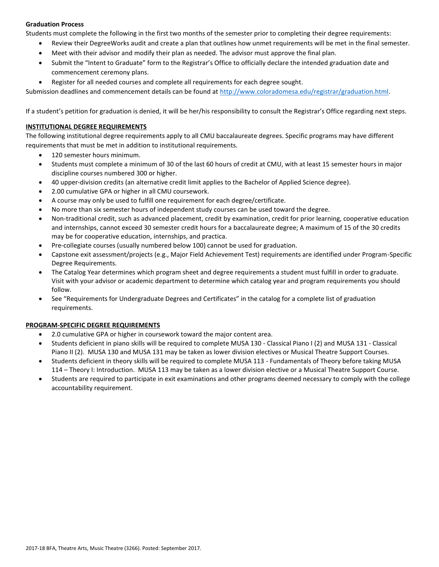# **Graduation Process**

Students must complete the following in the first two months of the semester prior to completing their degree requirements:

- Review their DegreeWorks audit and create a plan that outlines how unmet requirements will be met in the final semester.
- Meet with their advisor and modify their plan as needed. The advisor must approve the final plan.
- Submit the "Intent to Graduate" form to the Registrar's Office to officially declare the intended graduation date and commencement ceremony plans.
- Register for all needed courses and complete all requirements for each degree sought.

Submission deadlines and commencement details can be found at [http://www.coloradomesa.edu/registrar/graduation.html.](http://www.coloradomesa.edu/registrar/graduation.html)

If a student's petition for graduation is denied, it will be her/his responsibility to consult the Registrar's Office regarding next steps.

## **INSTITUTIONAL DEGREE REQUIREMENTS**

The following institutional degree requirements apply to all CMU baccalaureate degrees. Specific programs may have different requirements that must be met in addition to institutional requirements.

- 120 semester hours minimum.
- Students must complete a minimum of 30 of the last 60 hours of credit at CMU, with at least 15 semester hours in major discipline courses numbered 300 or higher.
- 40 upper-division credits (an alternative credit limit applies to the Bachelor of Applied Science degree).
- 2.00 cumulative GPA or higher in all CMU coursework.
- A course may only be used to fulfill one requirement for each degree/certificate.
- No more than six semester hours of independent study courses can be used toward the degree.
- Non-traditional credit, such as advanced placement, credit by examination, credit for prior learning, cooperative education and internships, cannot exceed 30 semester credit hours for a baccalaureate degree; A maximum of 15 of the 30 credits may be for cooperative education, internships, and practica.
- Pre-collegiate courses (usually numbered below 100) cannot be used for graduation.
- Capstone exit assessment/projects (e.g., Major Field Achievement Test) requirements are identified under Program-Specific Degree Requirements.
- The Catalog Year determines which program sheet and degree requirements a student must fulfill in order to graduate. Visit with your advisor or academic department to determine which catalog year and program requirements you should follow.
- See "Requirements for Undergraduate Degrees and Certificates" in the catalog for a complete list of graduation requirements.

# **PROGRAM-SPECIFIC DEGREE REQUIREMENTS**

- 2.0 cumulative GPA or higher in coursework toward the major content area.
- Students deficient in piano skills will be required to complete MUSA 130 Classical Piano I (2) and MUSA 131 Classical Piano II (2). MUSA 130 and MUSA 131 may be taken as lower division electives or Musical Theatre Support Courses.
- Students deficient in theory skills will be required to complete MUSA 113 Fundamentals of Theory before taking MUSA 114 – Theory I: Introduction. MUSA 113 may be taken as a lower division elective or a Musical Theatre Support Course.
- Students are required to participate in exit examinations and other programs deemed necessary to comply with the college accountability requirement.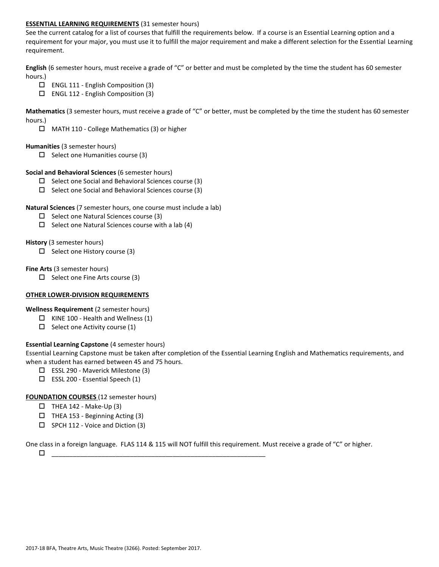### **ESSENTIAL LEARNING REQUIREMENTS** (31 semester hours)

See the current catalog for a list of courses that fulfill the requirements below. If a course is an Essential Learning option and a requirement for your major, you must use it to fulfill the major requirement and make a different selection for the Essential Learning requirement.

**English** (6 semester hours, must receive a grade of "C" or better and must be completed by the time the student has 60 semester hours.)

- $\Box$  ENGL 111 English Composition (3)
- ENGL 112 English Composition (3)

**Mathematics** (3 semester hours, must receive a grade of "C" or better, must be completed by the time the student has 60 semester hours.)

MATH 110 - College Mathematics (3) or higher

### **Humanities** (3 semester hours)

 $\Box$  Select one Humanities course (3)

### **Social and Behavioral Sciences** (6 semester hours)

- $\Box$  Select one Social and Behavioral Sciences course (3)
- $\Box$  Select one Social and Behavioral Sciences course (3)

### **Natural Sciences** (7 semester hours, one course must include a lab)

- $\square$  Select one Natural Sciences course (3)
- $\Box$  Select one Natural Sciences course with a lab (4)

### **History** (3 semester hours)

 $\Box$  Select one History course (3)

### **Fine Arts** (3 semester hours)

 $\Box$  Select one Fine Arts course (3)

### **OTHER LOWER-DIVISION REQUIREMENTS**

**Wellness Requirement** (2 semester hours)

- $\Box$  KINE 100 Health and Wellness (1)
- $\Box$  Select one Activity course (1)

# **Essential Learning Capstone** (4 semester hours)

Essential Learning Capstone must be taken after completion of the Essential Learning English and Mathematics requirements, and when a student has earned between 45 and 75 hours.

- ESSL 290 Maverick Milestone (3)
- $\square$  ESSL 200 Essential Speech (1)

# **FOUNDATION COURSES** (12 semester hours)

- $\Box$  THEA 142 Make-Up (3)
- $\Box$  THEA 153 Beginning Acting (3)
- $\square$  SPCH 112 Voice and Diction (3)

One class in a foreign language. FLAS 114 & 115 will NOT fulfill this requirement. Must receive a grade of "C" or higher.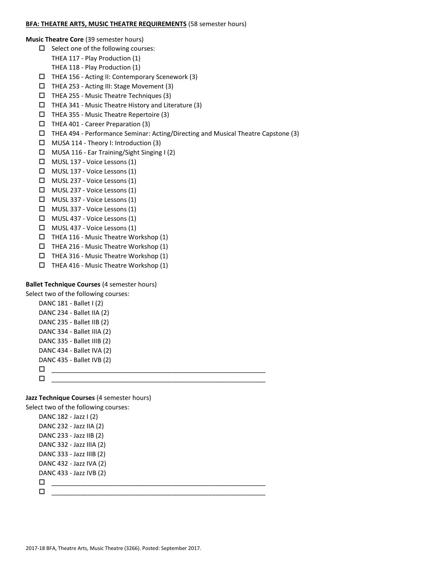### **BFA: THEATRE ARTS, MUSIC THEATRE REQUIREMENTS** (58 semester hours)

**Music Theatre Core** (39 semester hours)

- $\Box$  Select one of the following courses:
	- THEA 117 Play Production (1)
	- THEA 118 Play Production (1)
- $\Box$  THEA 156 Acting II: Contemporary Scenework (3)
- THEA 253 Acting III: Stage Movement (3)
- $\Box$  THEA 255 Music Theatre Techniques (3)
- THEA 341 Music Theatre History and Literature (3)
- $\Box$  THEA 355 Music Theatre Repertoire (3)
- $\Box$  THEA 401 Career Preparation (3)
- THEA 494 Performance Seminar: Acting/Directing and Musical Theatre Capstone (3)
- $\Box$  MUSA 114 Theory I: Introduction (3)
- MUSA 116 Ear Training/Sight Singing I (2)
- MUSL 137 Voice Lessons (1)
- MUSL 137 Voice Lessons (1)
- MUSL 237 Voice Lessons (1)
- MUSL 237 Voice Lessons (1)
- MUSL 337 Voice Lessons (1)
- MUSL 337 Voice Lessons (1)
- MUSL 437 Voice Lessons (1)
- MUSL 437 Voice Lessons (1)
- $\Box$  THEA 116 Music Theatre Workshop (1)
- $\Box$  THEA 216 Music Theatre Workshop (1)
- THEA 316 Music Theatre Workshop (1)
- $\Box$  THEA 416 Music Theatre Workshop (1)

### **Ballet Technique Courses** (4 semester hours)

Select two of the following courses:  $DAMC 101 \quad Ballat (2)$ 

| DANC 181 - Ballet I (2)    |
|----------------------------|
| DANC 234 - Ballet IIA (2)  |
| DANC 235 - Ballet IIB (2)  |
| DANC 334 - Ballet IIIA (2) |
| DANC 335 - Ballet IIIB (2) |
| DANC 434 - Ballet IVA (2)  |
| DANC 435 - Ballet IVB (2)  |
|                            |
| □                          |
|                            |

**Jazz Technique Courses** (4 semester hours)

Select two of the following courses:

```
DANC 182 - Jazz I (2)
DANC 232 - Jazz IIA (2)
DANC 233 - Jazz IIB (2)
DANC 332 - Jazz IIIA (2)
DANC 333 - Jazz IIIB (2)
DANC 432 - Jazz IVA (2) 
DANC 433 - Jazz IVB (2)
 ____________________________________________________________
 ____________________________________________________________
```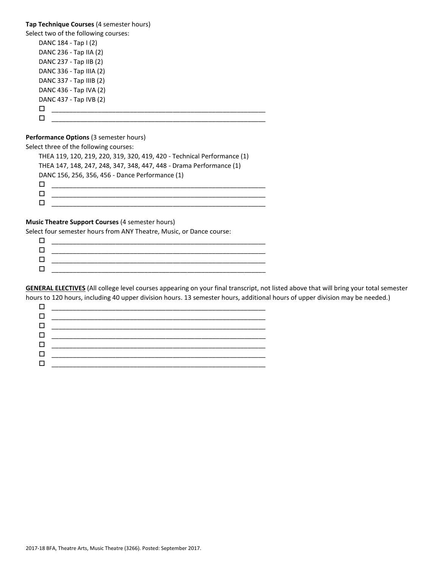**Tap Technique Courses** (4 semester hours) Select two of the following courses: DANC 184 - Tap I (2) DANC 236 - Tap IIA (2) DANC 237 - Tap IIB (2) DANC 336 - Tap IIIA (2) DANC 337 - Tap IIIB (2) DANC 436 - Tap IVA (2) DANC 437 - Tap IVB (2) \_\_\_\_\_\_\_\_\_\_\_\_\_\_\_\_\_\_\_\_\_\_\_\_\_\_\_\_\_\_\_\_\_\_\_\_\_\_\_\_\_\_\_\_\_\_\_\_\_\_\_\_\_\_\_\_\_\_\_\_  $\Box$  , and the set of the set of the set of the set of the set of the set of the set of the set of the set of the set of the set of the set of the set of the set of the set of the set of the set of the set of the set of t

### **Performance Options** (3 semester hours)

Select three of the following courses:

THEA 119, 120, 219, 220, 319, 320, 419, 420 - Technical Performance (1) THEA 147, 148, 247, 248, 347, 348, 447, 448 - Drama Performance (1) DANC 156, 256, 356, 456 - Dance Performance (1) \_\_\_\_\_\_\_\_\_\_\_\_\_\_\_\_\_\_\_\_\_\_\_\_\_\_\_\_\_\_\_\_\_\_\_\_\_\_\_\_\_\_\_\_\_\_\_\_\_\_\_\_\_\_\_\_\_\_\_\_  $\Box$  . The contract of the contract of the contract of the contract of the contract of the contract of the contract of the contract of the contract of the contract of the contract of the contract of the contract of the co  $\Box$  , and the contract of the contract of the contract of the contract of the contract of the contract of the contract of the contract of the contract of the contract of the contract of the contract of the contract of th

#### **Music Theatre Support Courses** (4 semester hours)

Select four semester hours from ANY Theatre, Music, or Dance course:

| _______________ |
|-----------------|
|                 |
| _____________   |
|                 |
|                 |

**GENERAL ELECTIVES** (All college level courses appearing on your final transcript, not listed above that will bring your total semester hours to 120 hours, including 40 upper division hours. 13 semester hours, additional hours of upper division may be needed.)

| <u> 1980 - Johann Barn, mars eta bat eta bat erroman erroman erroman ez erroman ez erroman ez erroman ez ez ez e</u> |
|----------------------------------------------------------------------------------------------------------------------|
|                                                                                                                      |
|                                                                                                                      |
|                                                                                                                      |
|                                                                                                                      |
|                                                                                                                      |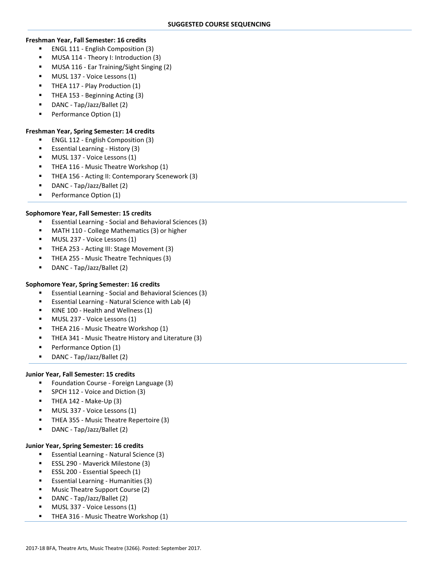### **Freshman Year, Fall Semester: 16 credits**

- ENGL 111 English Composition (3)
- MUSA 114 Theory I: Introduction (3)
- MUSA 116 Ear Training/Sight Singing (2)
- MUSL 137 Voice Lessons (1)
- THEA 117 Play Production (1)
- THEA 153 Beginning Acting (3)
- DANC Tap/Jazz/Ballet (2)
- Performance Option (1)

## **Freshman Year, Spring Semester: 14 credits**

- ENGL 112 English Composition (3)
- Essential Learning History (3)
- MUSL 137 Voice Lessons (1)
- THEA 116 Music Theatre Workshop (1)
- THEA 156 Acting II: Contemporary Scenework (3)
- DANC Tap/Jazz/Ballet (2)
- Performance Option (1)

### **Sophomore Year, Fall Semester: 15 credits**

- Essential Learning Social and Behavioral Sciences (3)
- MATH 110 College Mathematics (3) or higher
- **MUSL 237 Voice Lessons (1)**
- THEA 253 Acting III: Stage Movement (3)
- **THEA 255 Music Theatre Techniques (3)**
- DANC Tap/Jazz/Ballet (2)

### **Sophomore Year, Spring Semester: 16 credits**

- Essential Learning Social and Behavioral Sciences (3)
- Essential Learning Natural Science with Lab (4)
- KINE 100 Health and Wellness (1)
- MUSL 237 Voice Lessons (1)
- THEA 216 Music Theatre Workshop (1)
- **F** THEA 341 Music Theatre History and Literature (3)
- Performance Option (1)
- DANC Tap/Jazz/Ballet (2)

### **Junior Year, Fall Semester: 15 credits**

- **F** Foundation Course Foreign Language (3)
- SPCH 112 Voice and Diction (3)
- THEA 142 Make-Up (3)
- MUSL 337 Voice Lessons (1)
- THEA 355 Music Theatre Repertoire (3)
- DANC Tap/Jazz/Ballet (2)

# **Junior Year, Spring Semester: 16 credits**

- Essential Learning Natural Science (3)
- ESSL 290 Maverick Milestone (3)
- ESSL 200 Essential Speech (1)
- Essential Learning Humanities (3)
- Music Theatre Support Course (2)
- DANC Tap/Jazz/Ballet (2)
- MUSL 337 Voice Lessons (1)
- **THEA 316 Music Theatre Workshop (1)**